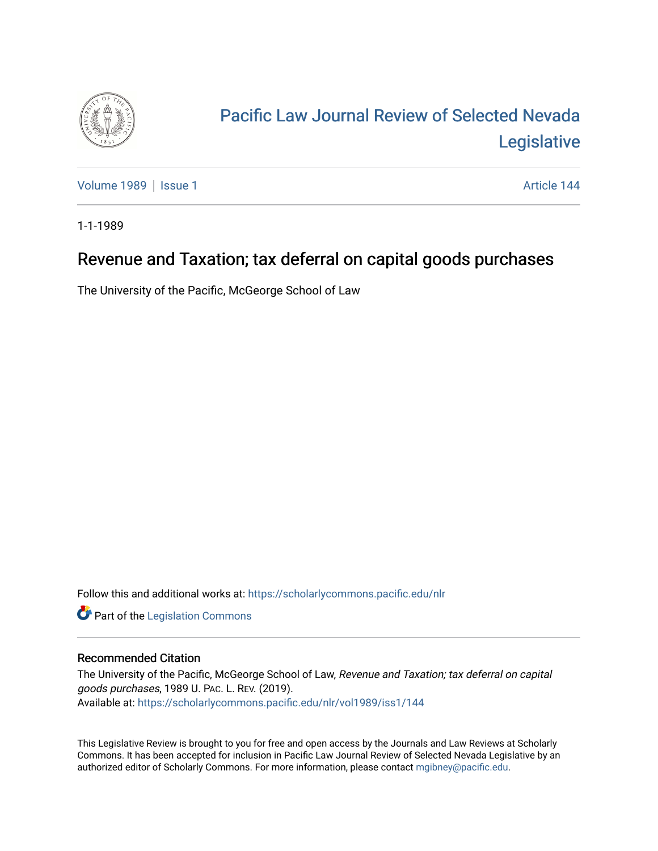

## [Pacific Law Journal Review of Selected Nevada](https://scholarlycommons.pacific.edu/nlr)  [Legislative](https://scholarlycommons.pacific.edu/nlr)

[Volume 1989](https://scholarlycommons.pacific.edu/nlr/vol1989) | [Issue 1](https://scholarlycommons.pacific.edu/nlr/vol1989/iss1) Article 144

1-1-1989

## Revenue and Taxation; tax deferral on capital goods purchases

The University of the Pacific, McGeorge School of Law

Follow this and additional works at: [https://scholarlycommons.pacific.edu/nlr](https://scholarlycommons.pacific.edu/nlr?utm_source=scholarlycommons.pacific.edu%2Fnlr%2Fvol1989%2Fiss1%2F144&utm_medium=PDF&utm_campaign=PDFCoverPages) 

**Part of the [Legislation Commons](http://network.bepress.com/hgg/discipline/859?utm_source=scholarlycommons.pacific.edu%2Fnlr%2Fvol1989%2Fiss1%2F144&utm_medium=PDF&utm_campaign=PDFCoverPages)** 

## Recommended Citation

The University of the Pacific, McGeorge School of Law, Revenue and Taxation; tax deferral on capital goods purchases, 1989 U. PAC. L. REV. (2019). Available at: [https://scholarlycommons.pacific.edu/nlr/vol1989/iss1/144](https://scholarlycommons.pacific.edu/nlr/vol1989/iss1/144?utm_source=scholarlycommons.pacific.edu%2Fnlr%2Fvol1989%2Fiss1%2F144&utm_medium=PDF&utm_campaign=PDFCoverPages) 

This Legislative Review is brought to you for free and open access by the Journals and Law Reviews at Scholarly Commons. It has been accepted for inclusion in Pacific Law Journal Review of Selected Nevada Legislative by an authorized editor of Scholarly Commons. For more information, please contact [mgibney@pacific.edu](mailto:mgibney@pacific.edu).